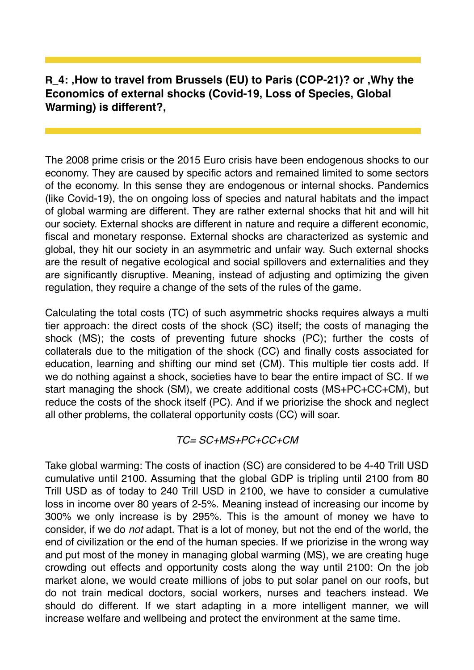## **R\_4: , How to travel from Brussels (EU) to Paris (COP-21)? or , Why the Economics of external shocks (Covid-19, Loss of Species, Global**  Warming) is different?,

The 2008 prime crisis or the 2015 Euro crisis have been endogenous shocks to our economy. They are caused by specific actors and remained limited to some sectors of the economy. In this sense they are endogenous or internal shocks. Pandemics (like Covid-19), the on ongoing loss of species and natural habitats and the impact of global warming are different. They are rather external shocks that hit and will hit our society. External shocks are different in nature and require a different economic, fiscal and monetary response. External shocks are characterized as systemic and global, they hit our society in an asymmetric and unfair way. Such external shocks are the result of negative ecological and social spillovers and externalities and they are significantly disruptive. Meaning, instead of adjusting and optimizing the given regulation, they require a change of the sets of the rules of the game.

Calculating the total costs (TC) of such asymmetric shocks requires always a multi tier approach: the direct costs of the shock (SC) itself; the costs of managing the shock (MS); the costs of preventing future shocks (PC); further the costs of collaterals due to the mitigation of the shock (CC) and finally costs associated for education, learning and shifting our mind set (CM). This multiple tier costs add. If we do nothing against a shock, societies have to bear the entire impact of SC. If we start managing the shock (SM), we create additional costs (MS+PC+CC+CM), but reduce the costs of the shock itself (PC). And if we priorizise the shock and neglect all other problems, the collateral opportunity costs (CC) will soar.

## *TC= SC+MS+PC+CC+CM*

Take global warming: The costs of inaction (SC) are considered to be 4-40 Trill USD cumulative until 2100. Assuming that the global GDP is tripling until 2100 from 80 Trill USD as of today to 240 Trill USD in 2100, we have to consider a cumulative loss in income over 80 years of 2-5%. Meaning instead of increasing our income by 300% we only increase is by 295%. This is the amount of money we have to consider, if we do *not* adapt. That is a lot of money, but not the end of the world, the end of civilization or the end of the human species. If we priorizise in the wrong way and put most of the money in managing global warming (MS), we are creating huge crowding out effects and opportunity costs along the way until 2100: On the job market alone, we would create millions of jobs to put solar panel on our roofs, but do not train medical doctors, social workers, nurses and teachers instead. We should do different. If we start adapting in a more intelligent manner, we will increase welfare and wellbeing and protect the environment at the same time.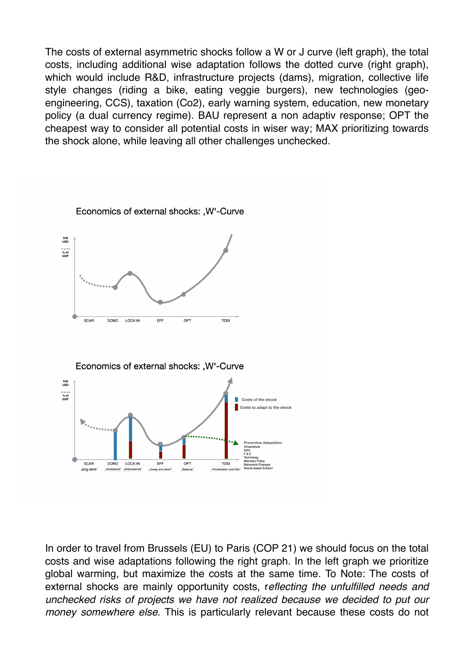The costs of external asymmetric shocks follow a W or J curve (left graph), the total costs, including additional wise adaptation follows the dotted curve (right graph), which would include R&D, infrastructure projects (dams), migration, collective life style changes (riding a bike, eating veggie burgers), new technologies (geoengineering, CCS), taxation (Co2), early warning system, education, new monetary policy (a dual currency regime). BAU represent a non adaptiv response; OPT the cheapest way to consider all potential costs in wiser way; MAX prioritizing towards the shock alone, while leaving all other challenges unchecked.



In order to travel from Brussels (EU) to Paris (COP 21) we should focus on the total costs and wise adaptations following the right graph. In the left graph we prioritize global warming, but maximize the costs at the same time. To Note: The costs of external shocks are mainly opportunity costs, r*eflecting the unfulfilled needs and unchecked risks of projects we have not realized because we decided to put our money somewhere else*. This is particularly relevant because these costs do not